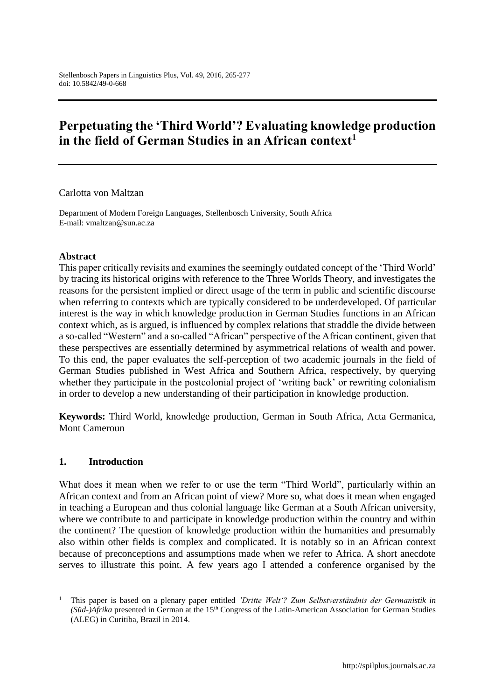# **Perpetuating the 'Third World'? Evaluating knowledge production in the field of German Studies in an African context<sup>1</sup>**

Carlotta von Maltzan

Department of Modern Foreign Languages, Stellenbosch University, South Africa E-mail: vmaltzan@sun.ac.za

#### **Abstract**

This paper critically revisits and examines the seemingly outdated concept of the 'Third World' by tracing its historical origins with reference to the Three Worlds Theory, and investigates the reasons for the persistent implied or direct usage of the term in public and scientific discourse when referring to contexts which are typically considered to be underdeveloped. Of particular interest is the way in which knowledge production in German Studies functions in an African context which, as is argued, is influenced by complex relations that straddle the divide between a so-called "Western" and a so-called "African" perspective of the African continent, given that these perspectives are essentially determined by asymmetrical relations of wealth and power. To this end, the paper evaluates the self-perception of two academic journals in the field of German Studies published in West Africa and Southern Africa, respectively, by querying whether they participate in the postcolonial project of 'writing back' or rewriting colonialism in order to develop a new understanding of their participation in knowledge production.

**Keywords:** Third World, knowledge production, German in South Africa, Acta Germanica, Mont Cameroun

#### **1. Introduction**

 $\overline{a}$ 

What does it mean when we refer to or use the term "Third World", particularly within an African context and from an African point of view? More so, what does it mean when engaged in teaching a European and thus colonial language like German at a South African university, where we contribute to and participate in knowledge production within the country and within the continent? The question of knowledge production within the humanities and presumably also within other fields is complex and complicated. It is notably so in an African context because of preconceptions and assumptions made when we refer to Africa. A short anecdote serves to illustrate this point. A few years ago I attended a conference organised by the

<sup>1</sup> This paper is based on a plenary paper entitled *'Dritte Welt'? Zum Selbstverständnis der Germanistik in (Süd-)Afrika* presented in German at the 15<sup>th</sup> Congress of the Latin-American Association for German Studies (ALEG) in Curitiba, Brazil in 2014.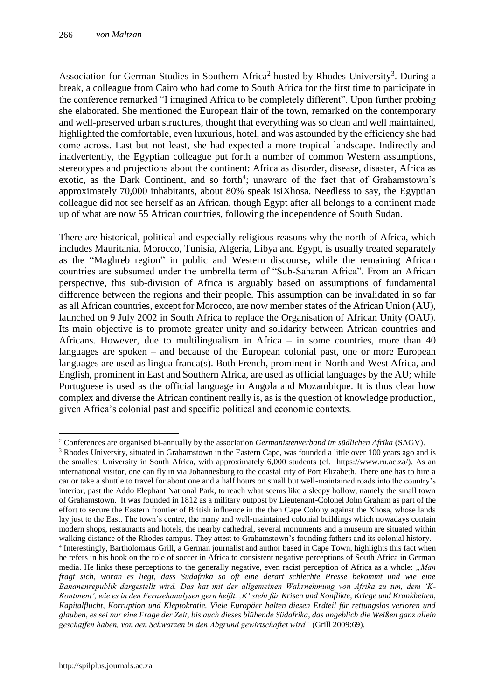Association for German Studies in Southern Africa<sup>2</sup> hosted by Rhodes University<sup>3</sup>. During a break, a colleague from Cairo who had come to South Africa for the first time to participate in the conference remarked "I imagined Africa to be completely different". Upon further probing she elaborated. She mentioned the European flair of the town, remarked on the contemporary and well-preserved urban structures, thought that everything was so clean and well maintained, highlighted the comfortable, even luxurious, hotel, and was astounded by the efficiency she had come across. Last but not least, she had expected a more tropical landscape. Indirectly and inadvertently, the Egyptian colleague put forth a number of common Western assumptions, stereotypes and projections about the continent: Africa as disorder, disease, disaster, Africa as exotic, as the Dark Continent, and so forth<sup>4</sup>; unaware of the fact that of Grahamstown's approximately 70,000 inhabitants, about 80% speak isiXhosa. Needless to say, the Egyptian colleague did not see herself as an African, though Egypt after all belongs to a continent made up of what are now 55 African countries, following the independence of South Sudan.

There are historical, political and especially religious reasons why the north of Africa, which includes Mauritania, Morocco, Tunisia, Algeria, Libya and Egypt, is usually treated separately as the "Maghreb region" in public and Western discourse, while the remaining African countries are subsumed under the umbrella term of "Sub-Saharan Africa". From an African perspective, this sub-division of Africa is arguably based on assumptions of fundamental difference between the regions and their people. This assumption can be invalidated in so far as all African countries, except for Morocco, are now member states of the African Union (AU), launched on 9 July 2002 in South Africa to replace the Organisation of African Unity (OAU). Its main objective is to promote greater unity and solidarity between African countries and Africans. However, due to multilingualism in Africa – in some countries, more than 40 languages are spoken – and because of the European colonial past, one or more European languages are used as lingua franca(s). Both French, prominent in North and West Africa, and English, prominent in East and Southern Africa, are used as official languages by the AU; while Portuguese is used as the official language in Angola and Mozambique. It is thus clear how complex and diverse the African continent really is, as is the question of knowledge production, given Africa's colonial past and specific political and economic contexts.

 $\overline{a}$ <sup>2</sup> Conferences are organised bi-annually by the association *Germanistenverband im südlichen Afrika* (SAGV).

<sup>&</sup>lt;sup>3</sup> Rhodes University, situated in Grahamstown in the Eastern Cape, was founded a little over 100 years ago and is the smallest University in South Africa, with approximately 6,000 students (cf. [https://www.ru.ac.za/\)](https://www.ru.ac.za/). As an international visitor, one can fly in via Johannesburg to the coastal city of Port Elizabeth. There one has to hire a car or take a shuttle to travel for about one and a half hours on small but well-maintained roads into the country's interior, past the Addo Elephant National Park, to reach what seems like a sleepy hollow, namely the small town of Grahamstown. It was founded in 1812 as a military outpost by Lieutenant-Colonel John Graham as part of the effort to secure the Eastern frontier of British influence in the then Cape Colony against the Xhosa, whose lands lay just to the East. The town's centre, the many and well-maintained colonial buildings which nowadays contain modern shops, restaurants and hotels, the nearby cathedral, several monuments and a museum are situated within walking distance of the Rhodes campus. They attest to Grahamstown's founding fathers and its colonial history.

<sup>4</sup> Interestingly, Bartholomäus Grill, a German journalist and author based in Cape Town, highlights this fact when he refers in his book on the role of soccer in Africa to consistent negative perceptions of South Africa in German media. He links these perceptions to the generally negative, even racist perception of Africa as a whole: *"Man fragt sich, woran es liegt, dass Südafrika so oft eine derart schlechte Presse bekommt und wie eine Bananenrepublik dargestellt wird. Das hat mit der allgemeinen Wahrnehmung von Afrika zu tun, dem 'K-Kontinent', wie es in den Fernsehanalysen gern heißt. 'K' steht für Krisen und Konflikte, Kriege und Krankheiten, Kapitalflucht, Korruption und Kleptokratie. Viele Europäer halten diesen Erdteil für rettungslos verloren und glauben, es sei nur eine Frage der Zeit, bis auch dieses blühende Südafrika, das angeblich die Weißen ganz allein geschaffen haben, von den Schwarzen in den Abgrund gewirtschaftet wird"* (Grill 2009:69).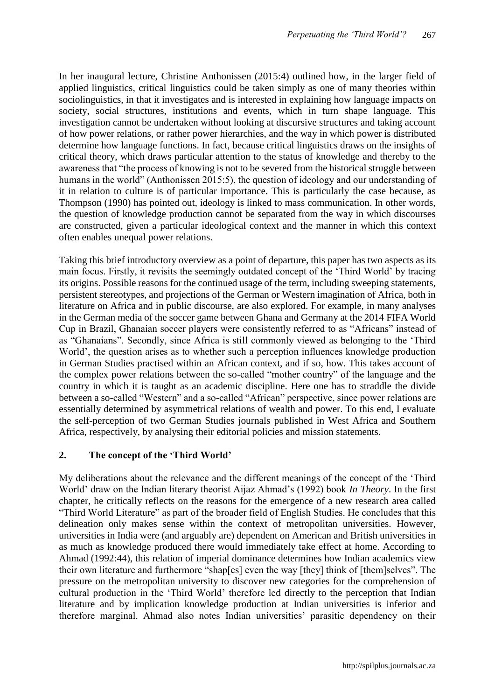In her inaugural lecture, Christine Anthonissen (2015:4) outlined how, in the larger field of applied linguistics, critical linguistics could be taken simply as one of many theories within sociolinguistics, in that it investigates and is interested in explaining how language impacts on society, social structures, institutions and events, which in turn shape language. This investigation cannot be undertaken without looking at discursive structures and taking account of how power relations, or rather power hierarchies, and the way in which power is distributed determine how language functions. In fact, because critical linguistics draws on the insights of critical theory, which draws particular attention to the status of knowledge and thereby to the awareness that "the process of knowing is not to be severed from the historical struggle between humans in the world" (Anthonissen 2015:5), the question of ideology and our understanding of it in relation to culture is of particular importance. This is particularly the case because, as Thompson (1990) has pointed out, ideology is linked to mass communication. In other words, the question of knowledge production cannot be separated from the way in which discourses are constructed, given a particular ideological context and the manner in which this context often enables unequal power relations.

Taking this brief introductory overview as a point of departure, this paper has two aspects as its main focus. Firstly, it revisits the seemingly outdated concept of the 'Third World' by tracing its origins. Possible reasons for the continued usage of the term, including sweeping statements, persistent stereotypes, and projections of the German or Western imagination of Africa, both in literature on Africa and in public discourse, are also explored. For example, in many analyses in the German media of the soccer game between Ghana and Germany at the 2014 FIFA World Cup in Brazil, Ghanaian soccer players were consistently referred to as "Africans" instead of as "Ghanaians". Secondly, since Africa is still commonly viewed as belonging to the 'Third World', the question arises as to whether such a perception influences knowledge production in German Studies practised within an African context, and if so, how. This takes account of the complex power relations between the so-called "mother country" of the language and the country in which it is taught as an academic discipline. Here one has to straddle the divide between a so-called "Western" and a so-called "African" perspective, since power relations are essentially determined by asymmetrical relations of wealth and power. To this end, I evaluate the self-perception of two German Studies journals published in West Africa and Southern Africa, respectively, by analysing their editorial policies and mission statements.

## **2. The concept of the 'Third World'**

My deliberations about the relevance and the different meanings of the concept of the 'Third World' draw on the Indian literary theorist Aijaz Ahmad's (1992) book *In Theory*. In the first chapter, he critically reflects on the reasons for the emergence of a new research area called "Third World Literature" as part of the broader field of English Studies. He concludes that this delineation only makes sense within the context of metropolitan universities. However, universities in India were (and arguably are) dependent on American and British universities in as much as knowledge produced there would immediately take effect at home. According to Ahmad (1992:44), this relation of imperial dominance determines how Indian academics view their own literature and furthermore "shap[es] even the way [they] think of [them]selves". The pressure on the metropolitan university to discover new categories for the comprehension of cultural production in the 'Third World' therefore led directly to the perception that Indian literature and by implication knowledge production at Indian universities is inferior and therefore marginal. Ahmad also notes Indian universities' parasitic dependency on their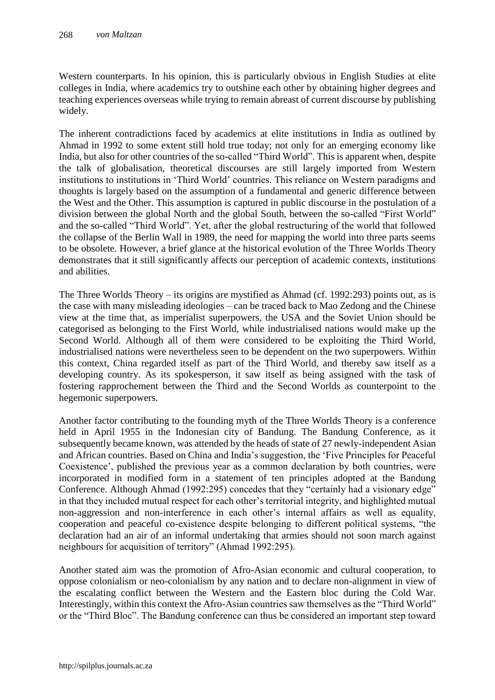Western counterparts. In his opinion, this is particularly obvious in English Studies at elite colleges in India, where academics try to outshine each other by obtaining higher degrees and teaching experiences overseas while trying to remain abreast of current discourse by publishing widely.

The inherent contradictions faced by academics at elite institutions in India as outlined by Ahmad in 1992 to some extent still hold true today; not only for an emerging economy like India, but also for other countries of the so-called "Third World". This is apparent when, despite the talk of globalisation, theoretical discourses are still largely imported from Western institutions to institutions in 'Third World' countries. This reliance on Western paradigms and thoughts is largely based on the assumption of a fundamental and generic difference between the West and the Other. This assumption is captured in public discourse in the postulation of a division between the global North and the global South, between the so-called "First World" and the so-called "Third World". Yet, after the global restructuring of the world that followed the collapse of the Berlin Wall in 1989, the need for mapping the world into three parts seems to be obsolete. However, a brief glance at the historical evolution of the Three Worlds Theory demonstrates that it still significantly affects our perception of academic contexts, institutions and abilities.

The Three Worlds Theory – its origins are mystified as Ahmad (cf. 1992:293) points out, as is the case with many misleading ideologies – can be traced back to Mao Zedong and the Chinese view at the time that, as imperialist superpowers, the USA and the Soviet Union should be categorised as belonging to the First World, while industrialised nations would make up the Second World. Although all of them were considered to be exploiting the Third World, industrialised nations were nevertheless seen to be dependent on the two superpowers. Within this context, China regarded itself as part of the Third World, and thereby saw itself as a developing country. As its spokesperson, it saw itself as being assigned with the task of fostering rapprochement between the Third and the Second Worlds as counterpoint to the hegemonic superpowers.

Another factor contributing to the founding myth of the Three Worlds Theory is a conference held in April 1955 in the Indonesian city of Bandung. The Bandung Conference, as it subsequently became known, was attended by the heads of state of 27 newly-independent Asian and African countries. Based on China and India's suggestion, the 'Five Principles for Peaceful Coexistence', published the previous year as a common declaration by both countries, were incorporated in modified form in a statement of ten principles adopted at the Bandung Conference. Although Ahmad (1992:295) concedes that they "certainly had a visionary edge" in that they included mutual respect for each other's territorial integrity, and highlighted mutual non-aggression and non-interference in each other's internal affairs as well as equality, cooperation and peaceful co-existence despite belonging to different political systems, "the declaration had an air of an informal undertaking that armies should not soon march against neighbours for acquisition of territory" (Ahmad 1992:295).

Another stated aim was the promotion of Afro-Asian economic and cultural cooperation, to oppose colonialism or neo-colonialism by any nation and to declare non-alignment in view of the escalating conflict between the Western and the Eastern bloc during the Cold War. Interestingly, within this context the Afro-Asian countries saw themselves as the "Third World" or the "Third Bloc". The Bandung conference can thus be considered an important step toward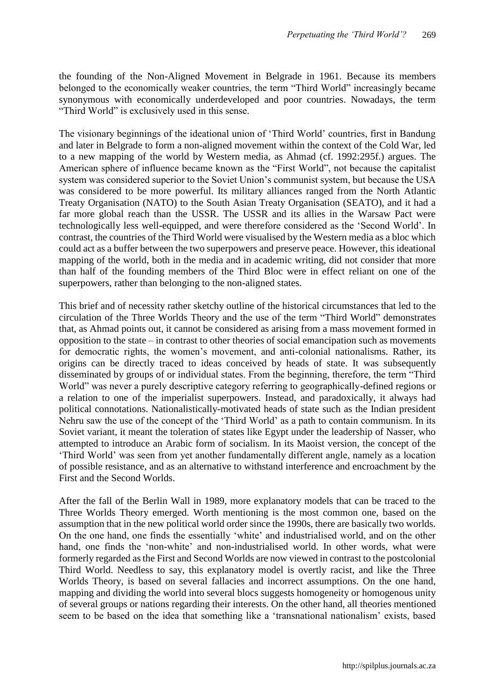the founding of the Non-Aligned Movement in Belgrade in 1961. Because its members belonged to the economically weaker countries, the term "Third World" increasingly became synonymous with economically underdeveloped and poor countries. Nowadays, the term "Third World" is exclusively used in this sense.

The visionary beginnings of the ideational union of 'Third World' countries, first in Bandung and later in Belgrade to form a non-aligned movement within the context of the Cold War, led to a new mapping of the world by Western media, as Ahmad (cf. 1992:295f.) argues. The American sphere of influence became known as the "First World", not because the capitalist system was considered superior to the Soviet Union's communist system, but because the USA was considered to be more powerful. Its military alliances ranged from the North Atlantic Treaty Organisation (NATO) to the South Asian Treaty Organisation (SEATO), and it had a far more global reach than the USSR. The USSR and its allies in the Warsaw Pact were technologically less well-equipped, and were therefore considered as the 'Second World'. In contrast, the countries of the Third World were visualised by the Western media as a bloc which could act as a buffer between the two superpowers and preserve peace. However, this ideational mapping of the world, both in the media and in academic writing, did not consider that more than half of the founding members of the Third Bloc were in effect reliant on one of the superpowers, rather than belonging to the non-aligned states.

This brief and of necessity rather sketchy outline of the historical circumstances that led to the circulation of the Three Worlds Theory and the use of the term "Third World" demonstrates that, as Ahmad points out, it cannot be considered as arising from a mass movement formed in opposition to the state – in contrast to other theories of social emancipation such as movements for democratic rights, the women's movement, and anti-colonial nationalisms. Rather, its origins can be directly traced to ideas conceived by heads of state. It was subsequently disseminated by groups of or individual states. From the beginning, therefore, the term "Third World" was never a purely descriptive category referring to geographically-defined regions or a relation to one of the imperialist superpowers. Instead, and paradoxically, it always had political connotations. Nationalistically-motivated heads of state such as the Indian president Nehru saw the use of the concept of the 'Third World' as a path to contain communism. In its Soviet variant, it meant the toleration of states like Egypt under the leadership of Nasser, who attempted to introduce an Arabic form of socialism. In its Maoist version, the concept of the 'Third World' was seen from yet another fundamentally different angle, namely as a location of possible resistance, and as an alternative to withstand interference and encroachment by the First and the Second Worlds.

After the fall of the Berlin Wall in 1989, more explanatory models that can be traced to the Three Worlds Theory emerged. Worth mentioning is the most common one, based on the assumption that in the new political world order since the 1990s, there are basically two worlds. On the one hand, one finds the essentially 'white' and industrialised world, and on the other hand, one finds the 'non-white' and non-industrialised world. In other words, what were formerly regarded as the First and Second Worlds are now viewed in contrast to the postcolonial Third World. Needless to say, this explanatory model is overtly racist, and like the Three Worlds Theory, is based on several fallacies and incorrect assumptions. On the one hand, mapping and dividing the world into several blocs suggests homogeneity or homogenous unity of several groups or nations regarding their interests. On the other hand, all theories mentioned seem to be based on the idea that something like a 'transnational nationalism' exists, based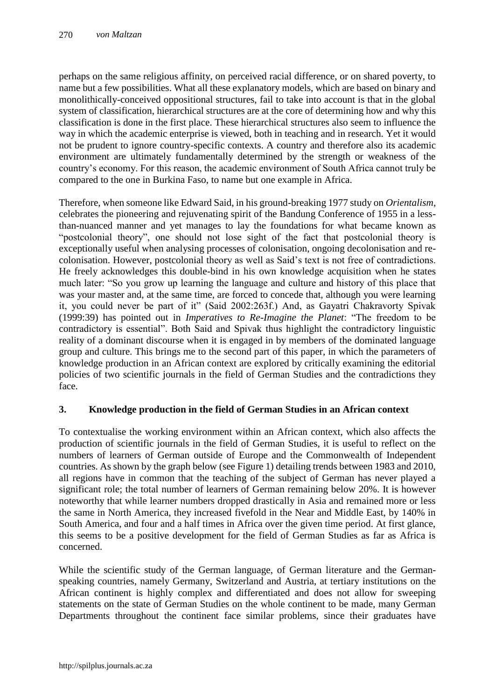perhaps on the same religious affinity, on perceived racial difference, or on shared poverty, to name but a few possibilities. What all these explanatory models, which are based on binary and monolithically-conceived oppositional structures, fail to take into account is that in the global system of classification, hierarchical structures are at the core of determining how and why this classification is done in the first place. These hierarchical structures also seem to influence the way in which the academic enterprise is viewed, both in teaching and in research. Yet it would not be prudent to ignore country-specific contexts. A country and therefore also its academic environment are ultimately fundamentally determined by the strength or weakness of the country's economy. For this reason, the academic environment of South Africa cannot truly be compared to the one in Burkina Faso, to name but one example in Africa.

Therefore, when someone like Edward Said, in his ground-breaking 1977 study on *Orientalism*, celebrates the pioneering and rejuvenating spirit of the Bandung Conference of 1955 in a lessthan-nuanced manner and yet manages to lay the foundations for what became known as "postcolonial theory", one should not lose sight of the fact that postcolonial theory is exceptionally useful when analysing processes of colonisation, ongoing decolonisation and recolonisation. However, postcolonial theory as well as Said's text is not free of contradictions. He freely acknowledges this double-bind in his own knowledge acquisition when he states much later: "So you grow up learning the language and culture and history of this place that was your master and, at the same time, are forced to concede that, although you were learning it, you could never be part of it" (Said 2002:263f.) And, as Gayatri Chakravorty Spivak (1999:39) has pointed out in *Imperatives to Re-Imagine the Planet*: "The freedom to be contradictory is essential". Both Said and Spivak thus highlight the contradictory linguistic reality of a dominant discourse when it is engaged in by members of the dominated language group and culture. This brings me to the second part of this paper, in which the parameters of knowledge production in an African context are explored by critically examining the editorial policies of two scientific journals in the field of German Studies and the contradictions they face.

## **3. Knowledge production in the field of German Studies in an African context**

To contextualise the working environment within an African context, which also affects the production of scientific journals in the field of German Studies, it is useful to reflect on the numbers of learners of German outside of Europe and the Commonwealth of Independent countries. As shown by the graph below (see Figure 1) detailing trends between 1983 and 2010, all regions have in common that the teaching of the subject of German has never played a significant role; the total number of learners of German remaining below 20%. It is however noteworthy that while learner numbers dropped drastically in Asia and remained more or less the same in North America, they increased fivefold in the Near and Middle East, by 140% in South America, and four and a half times in Africa over the given time period. At first glance, this seems to be a positive development for the field of German Studies as far as Africa is concerned.

While the scientific study of the German language, of German literature and the Germanspeaking countries, namely Germany, Switzerland and Austria, at tertiary institutions on the African continent is highly complex and differentiated and does not allow for sweeping statements on the state of German Studies on the whole continent to be made, many German Departments throughout the continent face similar problems, since their graduates have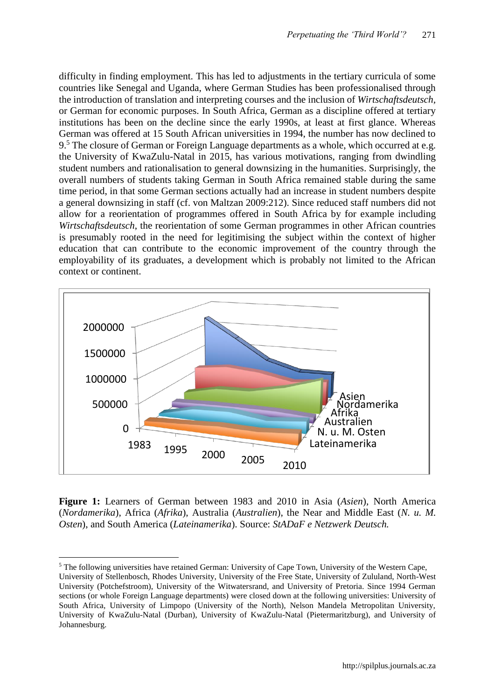difficulty in finding employment. This has led to adjustments in the tertiary curricula of some countries like Senegal and Uganda, where German Studies has been professionalised through the introduction of translation and interpreting courses and the inclusion of *Wirtschaftsdeutsch,* or German for economic purposes. In South Africa, German as a discipline offered at tertiary institutions has been on the decline since the early 1990s, at least at first glance. Whereas German was offered at 15 South African universities in 1994, the number has now declined to 9.<sup>5</sup> The closure of German or Foreign Language departments as a whole, which occurred at e.g. the University of KwaZulu-Natal in 2015, has various motivations, ranging from dwindling student numbers and rationalisation to general downsizing in the humanities. Surprisingly, the overall numbers of students taking German in South Africa remained stable during the same time period, in that some German sections actually had an increase in student numbers despite a general downsizing in staff (cf. von Maltzan 2009:212). Since reduced staff numbers did not allow for a reorientation of programmes offered in South Africa by for example including *Wirtschaftsdeutsch*, the reorientation of some German programmes in other African countries is presumably rooted in the need for legitimising the subject within the context of higher education that can contribute to the economic improvement of the country through the employability of its graduates, a development which is probably not limited to the African context or continent.



**Figure 1:** Learners of German between 1983 and 2010 in Asia (*Asien*), North America (*Nordamerika*), Africa (*Afrika*), Australia (*Australien*), the Near and Middle East (*N. u. M. Osten*), and South America (*Lateinamerika*). Source: *StADaF e Netzwerk Deutsch.*

 $\overline{a}$ 

<sup>&</sup>lt;sup>5</sup> The following universities have retained German: University of Cape Town, University of the Western Cape, University of Stellenbosch, Rhodes University, University of the Free State, University of Zululand, North-West University (Potchefstroom), University of the Witwatersrand, and University of Pretoria. Since 1994 German sections (or whole Foreign Language departments) were closed down at the following universities: University of South Africa, University of Limpopo (University of the North), Nelson Mandela Metropolitan University, University of KwaZulu-Natal (Durban), University of KwaZulu-Natal (Pietermaritzburg), and University of Johannesburg.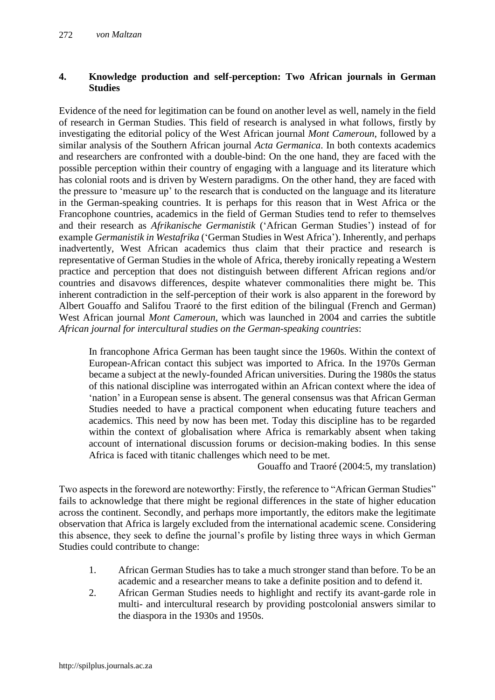## **4. Knowledge production and self-perception: Two African journals in German Studies**

Evidence of the need for legitimation can be found on another level as well, namely in the field of research in German Studies. This field of research is analysed in what follows, firstly by investigating the editorial policy of the West African journal *Mont Cameroun*, followed by a similar analysis of the Southern African journal *Acta Germanica*. In both contexts academics and researchers are confronted with a double-bind: On the one hand, they are faced with the possible perception within their country of engaging with a language and its literature which has colonial roots and is driven by Western paradigms. On the other hand, they are faced with the pressure to 'measure up' to the research that is conducted on the language and its literature in the German-speaking countries. It is perhaps for this reason that in West Africa or the Francophone countries, academics in the field of German Studies tend to refer to themselves and their research as *Afrikanische Germanistik* ('African German Studies') instead of for example *Germanistik in Westafrika* ('German Studies in West Africa'). Inherently, and perhaps inadvertently, West African academics thus claim that their practice and research is representative of German Studies in the whole of Africa, thereby ironically repeating a Western practice and perception that does not distinguish between different African regions and/or countries and disavows differences, despite whatever commonalities there might be. This inherent contradiction in the self-perception of their work is also apparent in the foreword by Albert Gouaffo and Salifou Traoré to the first edition of the bilingual (French and German) West African journal *Mont Cameroun*, which was launched in 2004 and carries the subtitle *African journal for intercultural studies on the German-speaking countries*:

In francophone Africa German has been taught since the 1960s. Within the context of European-African contact this subject was imported to Africa. In the 1970s German became a subject at the newly-founded African universities. During the 1980s the status of this national discipline was interrogated within an African context where the idea of 'nation' in a European sense is absent. The general consensus was that African German Studies needed to have a practical component when educating future teachers and academics. This need by now has been met. Today this discipline has to be regarded within the context of globalisation where Africa is remarkably absent when taking account of international discussion forums or decision-making bodies. In this sense Africa is faced with titanic challenges which need to be met.

Gouaffo and Traoré (2004:5, my translation)

Two aspects in the foreword are noteworthy: Firstly, the reference to "African German Studies" fails to acknowledge that there might be regional differences in the state of higher education across the continent. Secondly, and perhaps more importantly, the editors make the legitimate observation that Africa is largely excluded from the international academic scene. Considering this absence, they seek to define the journal's profile by listing three ways in which German Studies could contribute to change:

- 1. African German Studies has to take a much stronger stand than before. To be an academic and a researcher means to take a definite position and to defend it.
- 2. African German Studies needs to highlight and rectify its avant-garde role in multi- and intercultural research by providing postcolonial answers similar to the diaspora in the 1930s and 1950s.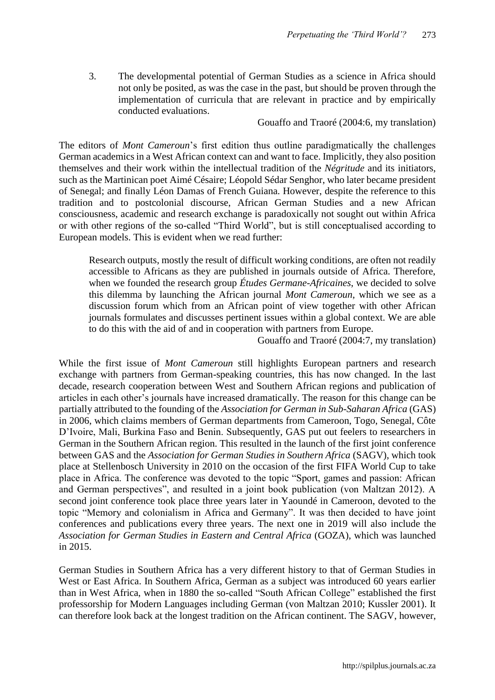3. The developmental potential of German Studies as a science in Africa should not only be posited, as was the case in the past, but should be proven through the implementation of curricula that are relevant in practice and by empirically conducted evaluations.

Gouaffo and Traoré (2004:6, my translation)

The editors of *Mont Cameroun*'s first edition thus outline paradigmatically the challenges German academics in a West African context can and want to face. Implicitly, they also position themselves and their work within the intellectual tradition of the *Négritude* and its initiators, such as the Martinican poet Aimé Césaire; Léopold Sédar Senghor, who later became president of Senegal; and finally Léon Damas of French Guiana. However, despite the reference to this tradition and to postcolonial discourse, African German Studies and a new African consciousness, academic and research exchange is paradoxically not sought out within Africa or with other regions of the so-called "Third World", but is still conceptualised according to European models. This is evident when we read further:

Research outputs, mostly the result of difficult working conditions, are often not readily accessible to Africans as they are published in journals outside of Africa. Therefore, when we founded the research group *Études Germane-Africaines*, we decided to solve this dilemma by launching the African journal *Mont Cameroun*, which we see as a discussion forum which from an African point of view together with other African journals formulates and discusses pertinent issues within a global context. We are able to do this with the aid of and in cooperation with partners from Europe.

Gouaffo and Traoré (2004:7, my translation)

While the first issue of *Mont Cameroun* still highlights European partners and research exchange with partners from German-speaking countries, this has now changed. In the last decade, research cooperation between West and Southern African regions and publication of articles in each other's journals have increased dramatically. The reason for this change can be partially attributed to the founding of the *Association for German in Sub-Saharan Africa* (GAS) in 2006, which claims members of German departments from Cameroon, Togo, Senegal, Côte D'Ivoire, Mali, Burkina Faso and Benin. Subsequently, GAS put out feelers to researchers in German in the Southern African region. This resulted in the launch of the first joint conference between GAS and the *Association for German Studies in Southern Africa* (SAGV), which took place at Stellenbosch University in 2010 on the occasion of the first FIFA World Cup to take place in Africa. The conference was devoted to the topic "Sport, games and passion: African and German perspectives", and resulted in a joint book publication (von Maltzan 2012). A second joint conference took place three years later in Yaoundé in Cameroon, devoted to the topic "Memory and colonialism in Africa and Germany". It was then decided to have joint conferences and publications every three years. The next one in 2019 will also include the *Association for German Studies in Eastern and Central Africa* (GOZA), which was launched in 2015.

German Studies in Southern Africa has a very different history to that of German Studies in West or East Africa. In Southern Africa, German as a subject was introduced 60 years earlier than in West Africa, when in 1880 the so-called "South African College" established the first professorship for Modern Languages including German (von Maltzan 2010; Kussler 2001). It can therefore look back at the longest tradition on the African continent. The SAGV, however,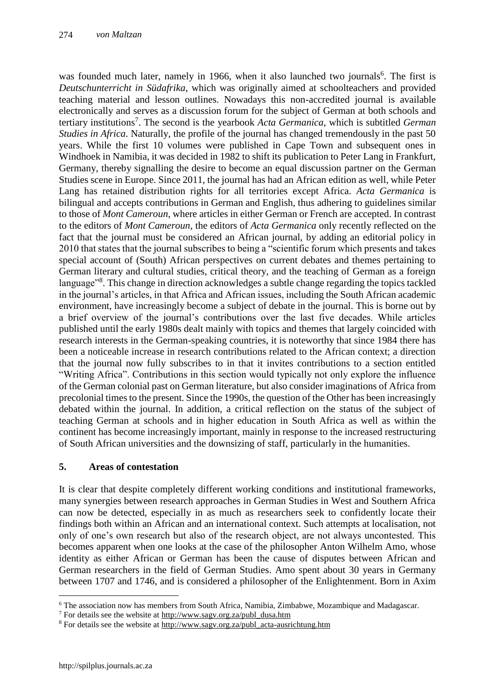was founded much later, namely in 1966, when it also launched two journals<sup>6</sup>. The first is *Deutschunterricht in Südafrika*, which was originally aimed at schoolteachers and provided teaching material and lesson outlines. Nowadays this non-accredited journal is available electronically and serves as a discussion forum for the subject of German at both schools and tertiary institutions<sup>7</sup> . The second is the yearbook *Acta Germanica*, which is subtitled *German Studies in Africa*. Naturally, the profile of the journal has changed tremendously in the past 50 years. While the first 10 volumes were published in Cape Town and subsequent ones in Windhoek in Namibia, it was decided in 1982 to shift its publication to Peter Lang in Frankfurt, Germany, thereby signalling the desire to become an equal discussion partner on the German Studies scene in Europe. Since 2011, the journal has had an African edition as well, while Peter Lang has retained distribution rights for all territories except Africa. *Acta Germanica* is bilingual and accepts contributions in German and English, thus adhering to guidelines similar to those of *Mont Cameroun*, where articles in either German or French are accepted. In contrast to the editors of *Mont Cameroun*, the editors of *Acta Germanica* only recently reflected on the fact that the journal must be considered an African journal, by adding an editorial policy in 2010 that states that the journal subscribes to being a "scientific forum which presents and takes special account of (South) African perspectives on current debates and themes pertaining to German literary and cultural studies, critical theory, and the teaching of German as a foreign language<sup>38</sup>. This change in direction acknowledges a subtle change regarding the topics tackled in the journal's articles, in that Africa and African issues, including the South African academic environment, have increasingly become a subject of debate in the journal. This is borne out by a brief overview of the journal's contributions over the last five decades. While articles published until the early 1980s dealt mainly with topics and themes that largely coincided with research interests in the German-speaking countries, it is noteworthy that since 1984 there has been a noticeable increase in research contributions related to the African context; a direction that the journal now fully subscribes to in that it invites contributions to a section entitled "Writing Africa". Contributions in this section would typically not only explore the influence of the German colonial past on German literature, but also consider imaginations of Africa from precolonial times to the present. Since the 1990s, the question of the Other has been increasingly debated within the journal. In addition, a critical reflection on the status of the subject of teaching German at schools and in higher education in South Africa as well as within the continent has become increasingly important, mainly in response to the increased restructuring of South African universities and the downsizing of staff, particularly in the humanities.

## **5. Areas of contestation**

It is clear that despite completely different working conditions and institutional frameworks, many synergies between research approaches in German Studies in West and Southern Africa can now be detected, especially in as much as researchers seek to confidently locate their findings both within an African and an international context. Such attempts at localisation, not only of one's own research but also of the research object, are not always uncontested. This becomes apparent when one looks at the case of the philosopher Anton Wilhelm Amo, whose identity as either African or German has been the cause of disputes between African and German researchers in the field of German Studies. Amo spent about 30 years in Germany between 1707 and 1746, and is considered a philosopher of the Enlightenment. Born in Axim

 $\overline{a}$ 

<sup>6</sup> The association now has members from South Africa, Namibia, Zimbabwe, Mozambique and Madagascar.

 $7$  For details see the website at  $\frac{http://www.sagv.org.za/public}$  dusa.htm

<sup>&</sup>lt;sup>8</sup> For details see the website at [http://www.sagv.org.za/publ\\_acta-ausrichtung.htm](http://www.sagv.org.za/publ_acta-ausrichtung.htm)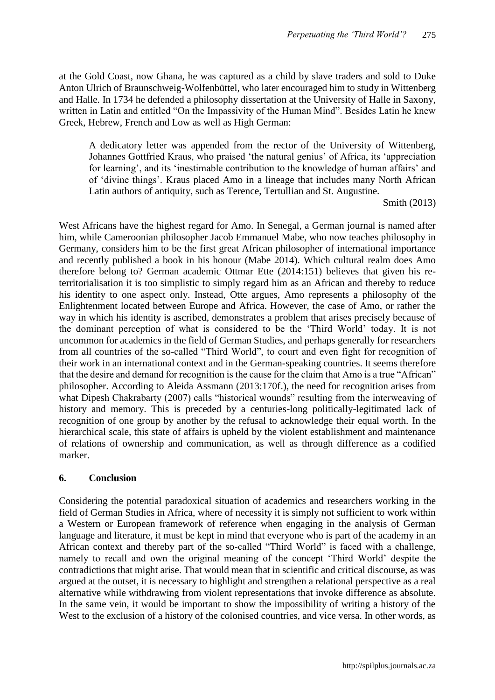at the Gold Coast, now Ghana, he was captured as a child by slave traders and sold to Duke Anton Ulrich of Braunschweig-Wolfenbüttel, who later encouraged him to study in Wittenberg and Halle. In 1734 he defended a philosophy dissertation at the University of Halle in Saxony, written in Latin and entitled "On the Impassivity of the Human Mind". Besides Latin he knew Greek, Hebrew, French and Low as well as High German:

A dedicatory letter was appended from the rector of the University of Wittenberg, Johannes Gottfried Kraus, who praised 'the natural genius' of Africa, its 'appreciation for learning', and its 'inestimable contribution to the knowledge of human affairs' and of 'divine things'. Kraus placed Amo in a lineage that includes many North African Latin authors of antiquity, such as Terence, Tertullian and St. Augustine.

Smith (2013)

West Africans have the highest regard for Amo. In Senegal, a German journal is named after him, while Cameroonian philosopher Jacob Emmanuel Mabe, who now teaches philosophy in Germany, considers him to be the first great African philosopher of international importance and recently published a book in his honour (Mabe 2014). Which cultural realm does Amo therefore belong to? German academic Ottmar Ette (2014:151) believes that given his reterritorialisation it is too simplistic to simply regard him as an African and thereby to reduce his identity to one aspect only. Instead, Otte argues, Amo represents a philosophy of the Enlightenment located between Europe and Africa. However, the case of Amo, or rather the way in which his identity is ascribed, demonstrates a problem that arises precisely because of the dominant perception of what is considered to be the 'Third World' today. It is not uncommon for academics in the field of German Studies, and perhaps generally for researchers from all countries of the so-called "Third World", to court and even fight for recognition of their work in an international context and in the German-speaking countries. It seems therefore that the desire and demand for recognition is the cause for the claim that Amo is a true "African" philosopher. According to Aleida Assmann (2013:170f.), the need for recognition arises from what Dipesh Chakrabarty (2007) calls "historical wounds" resulting from the interweaving of history and memory. This is preceded by a centuries-long politically-legitimated lack of recognition of one group by another by the refusal to acknowledge their equal worth. In the hierarchical scale, this state of affairs is upheld by the violent establishment and maintenance of relations of ownership and communication, as well as through difference as a codified marker.

#### **6. Conclusion**

Considering the potential paradoxical situation of academics and researchers working in the field of German Studies in Africa, where of necessity it is simply not sufficient to work within a Western or European framework of reference when engaging in the analysis of German language and literature, it must be kept in mind that everyone who is part of the academy in an African context and thereby part of the so-called "Third World" is faced with a challenge, namely to recall and own the original meaning of the concept 'Third World' despite the contradictions that might arise. That would mean that in scientific and critical discourse, as was argued at the outset, it is necessary to highlight and strengthen a relational perspective as a real alternative while withdrawing from violent representations that invoke difference as absolute. In the same vein, it would be important to show the impossibility of writing a history of the West to the exclusion of a history of the colonised countries, and vice versa. In other words, as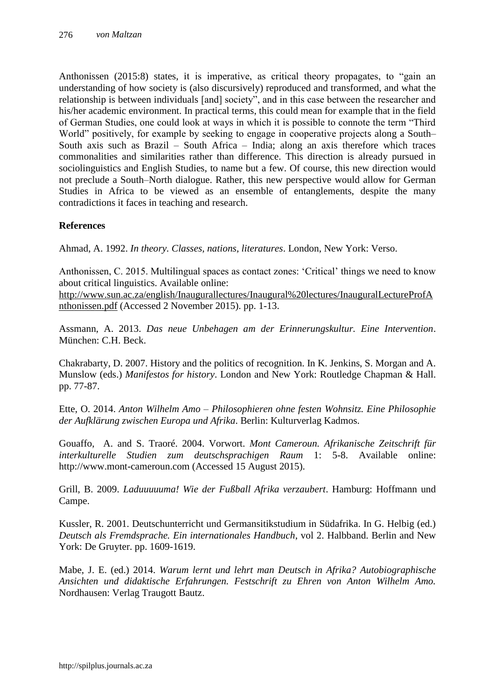Anthonissen (2015:8) states, it is imperative, as critical theory propagates, to "gain an understanding of how society is (also discursively) reproduced and transformed, and what the relationship is between individuals [and] society", and in this case between the researcher and his/her academic environment. In practical terms, this could mean for example that in the field of German Studies, one could look at ways in which it is possible to connote the term "Third World" positively, for example by seeking to engage in cooperative projects along a South– South axis such as Brazil – South Africa – India; along an axis therefore which traces commonalities and similarities rather than difference. This direction is already pursued in sociolinguistics and English Studies, to name but a few. Of course, this new direction would not preclude a South–North dialogue. Rather, this new perspective would allow for German Studies in Africa to be viewed as an ensemble of entanglements, despite the many contradictions it faces in teaching and research.

## **References**

Ahmad, A. 1992. *In theory. Classes, nations, literatures*. London, New York: Verso.

Anthonissen, C. 2015. Multilingual spaces as contact zones: 'Critical' things we need to know about critical linguistics. Available online:

[http://www.sun.ac.za/english/Inaugurallectures/Inaugural%20lectures/InauguralLectureProfA](http://www.sun.ac.za/english/Inaugurallectures/Inaugural%20lectures/InauguralLectureProfAnthonissen.pdf) [nthonissen.pdf](http://www.sun.ac.za/english/Inaugurallectures/Inaugural%20lectures/InauguralLectureProfAnthonissen.pdf) (Accessed 2 November 2015). pp. 1-13.

Assmann, A. 2013. *Das neue Unbehagen am der Erinnerungskultur. Eine Intervention*. München: C.H. Beck.

Chakrabarty, D. 2007. History and the politics of recognition. In K. Jenkins, S. Morgan and A. Munslow (eds.) *Manifestos for history*. London and New York: Routledge Chapman & Hall. pp. 77-87.

Ette, O. 2014. *Anton Wilhelm Amo – Philosophieren ohne festen Wohnsitz. Eine Philosophie der Aufklärung zwischen Europa und Afrika*. Berlin: Kulturverlag Kadmos.

Gouaffo, A. and S. Traoré. 2004. Vorwort. *Mont Cameroun. Afrikanische Zeitschrift für interkulturelle Studien zum deutschsprachigen Raum* 1: 5-8. Available online: http://www.mont-cameroun.com (Accessed 15 August 2015).

Grill, B. 2009. *Laduuuuuma! Wie der Fußball Afrika verzaubert*. Hamburg: Hoffmann und Campe.

Kussler, R. 2001. Deutschunterricht und Germansitikstudium in Südafrika. In G. Helbig (ed.) *Deutsch als Fremdsprache. Ein internationales Handbuch*, vol 2. Halbband. Berlin and New York: De Gruyter. pp. 1609-1619.

Mabe, J. E. (ed.) 2014. *Warum lernt und lehrt man Deutsch in Afrika? Autobiographische Ansichten und didaktische Erfahrungen. Festschrift zu Ehren von Anton Wilhelm Amo.* Nordhausen: Verlag Traugott Bautz.